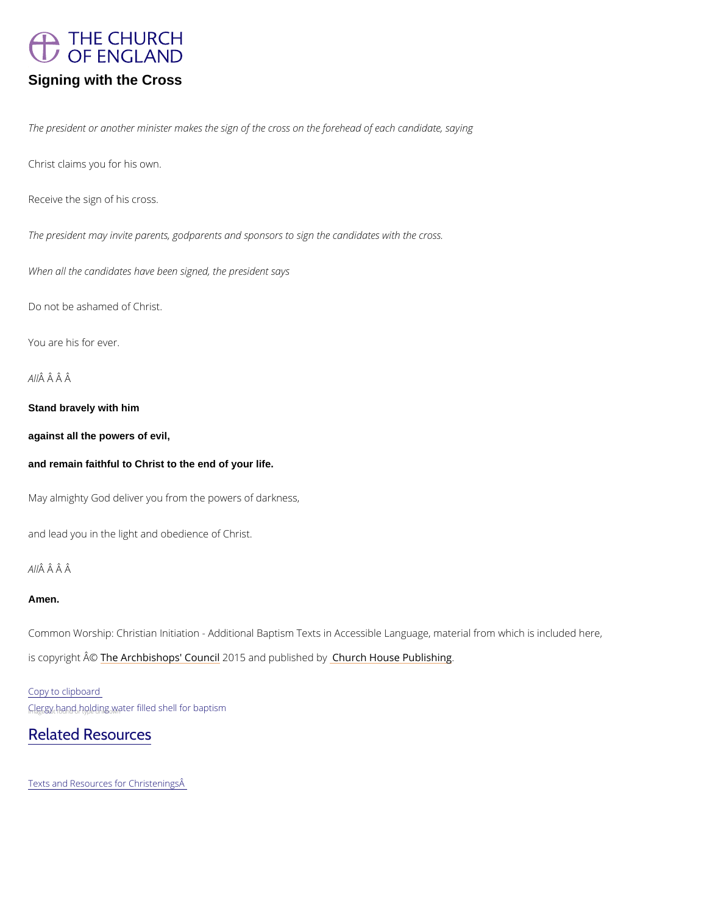

Signing with the Cross

The president or another minister makes the sign of the cross on the forehead of each candid

Christ claims you for his own.

Receive the sign of his cross.

The president may invite parents, godparents and sponsors to sign the candidates with the c

When all the candidates have been signed, the president says

Do not be ashamed of Christ.

You are his for ever.

AĤÂÂÂ

Stand bravely with him

against all the powers of evil,

and remain faithful to Christ to the end of your life.

May almighty God deliver you from the powers of darkness,

and lead you in the light and obedience of Christ.

## AĤÂÂÂ

#### Amen.

Common Worship: Christian Initiation - Additional Baptism Texts in Accessible Language, ma is copyrighth  $\hat{\mathbb{A}}$  @Archbishops' 200d o5n and publish head roby House Publishing

Copy to clipboard

 $C_n$ lgagy fandd, holding wwater filled shell for baptism

# [Related Resources](https://churchofenglandchristenings.org/)

Texts and Resources for Christenings